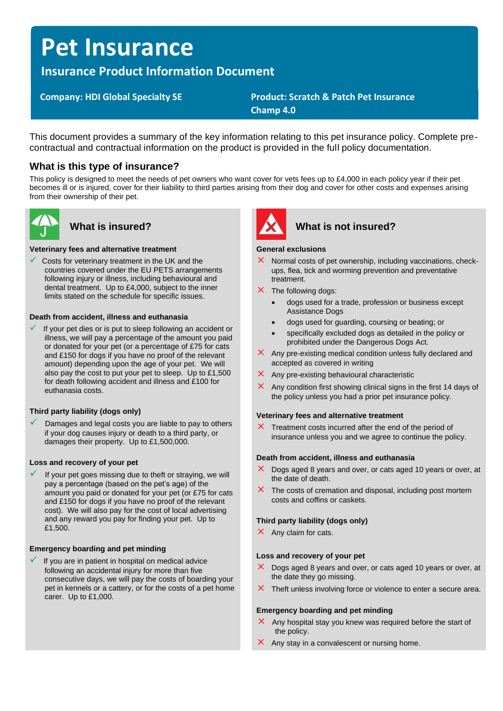# **Pet Insurance**

# **Insurance Product Information Document**

# **Company: HDI Global Specialty SE Product: Scratch & Patch Pet Insurance Champ 4.0**

This document provides a summary of the key information relating to this pet insurance policy. Complete precontractual and contractual information on the product is provided in the full policy documentation.

# **What is this type of insurance?**

This policy is designed to meet the needs of pet owners who want cover for vets fees up to £4,000 in each policy year if their pet becomes ill or is injured, cover for their liability to third parties arising from their dog and cover for other costs and expenses arising from their ownership of their pet.



### **Veterinary fees and alternative treatment**

Costs for veterinary treatment in the UK and the countries covered under the EU PETS arrangements following injury or illness, including behavioural and dental treatment. Up to £4,000, subject to the inner limits stated on the schedule for specific issues.

### **Death from accident, illness and euthanasia**

If your pet dies or is put to sleep following an accident or illness, we will pay a percentage of the amount you paid or donated for your pet (or a percentage of £75 for cats and £150 for dogs if you have no proof of the relevant amount) depending upon the age of your pet. We will also pay the cost to put your pet to sleep. Up to £1,500 for death following accident and illness and £100 for euthanasia costs.

### **Third party liability (dogs only)**

Damages and legal costs you are liable to pay to others if your dog causes injury or death to a third party, or damages their property. Up to £1,500,000.

### **Loss and recovery of your pet**

If your pet goes missing due to theft or straying, we will pay a percentage (based on the pet's age) of the amount you paid or donated for your pet (or £75 for cats and £150 for dogs if you have no proof of the relevant cost). We will also pay for the cost of local advertising and any reward you pay for finding your pet. Up to £1,500.

### **Emergency boarding and pet minding**

If you are in patient in hospital on medical advice following an accidental injury for more than five consecutive days, we will pay the costs of boarding your pet in kennels or a cattery, or for the costs of a pet home carer. Up to £1,000.



# What is insured? **What is not insured?**

#### **General exclusions**

- $\times$  Normal costs of pet ownership, including vaccinations, checkups, flea, tick and worming prevention and preventative treatment.
- $\times$  The following dogs:
	- dogs used for a trade, profession or business except Assistance Dogs
	- dogs used for guarding, coursing or beating; or
	- specifically excluded dogs as detailed in the policy or prohibited under the Dangerous Dogs Act.
- $\times$  Any pre-existing medical condition unless fully declared and accepted as covered in writing
- $\times$  Any pre-existing behavioural characteristic
- Any condition first showing clinical signs in the first 14 days of the policy unless you had a prior pet insurance policy.

#### **Veterinary fees and alternative treatment**

 $\times$  Treatment costs incurred after the end of the period of insurance unless you and we agree to continue the policy.

#### **Death from accident, illness and euthanasia**

- $\times$  Dogs aged 8 years and over, or cats aged 10 years or over, at the date of death.
- $\times$  The costs of cremation and disposal, including post mortem costs and coffins or caskets.

### **Third party liability (dogs only)**

 $\times$  Any claim for cats.

#### **Loss and recovery of your pet**

- $\times$  Dogs aged 8 years and over, or cats aged 10 years or over, at the date they go missing.
- $\times$  Theft unless involving force or violence to enter a secure area.

#### **Emergency boarding and pet minding**

- $\times$  Any hospital stay you knew was required before the start of the policy.
- $\times$  Any stay in a convalescent or nursing home.